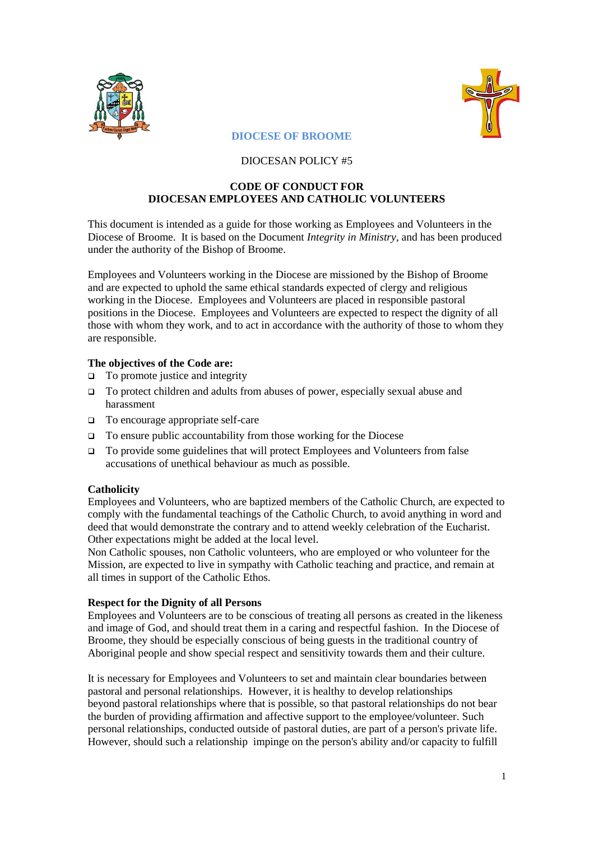



# **DIOCESE OF BROOME**

# DIOCESAN POLICY #5

## **CODE OF CONDUCT FOR DIOCESAN EMPLOYEES AND CATHOLIC VOLUNTEERS**

This document is intended as a guide for those working as Employees and Volunteers in the Diocese of Broome. It is based on the Document *Integrity in Ministry*, and has been produced under the authority of the Bishop of Broome.

Employees and Volunteers working in the Diocese are missioned by the Bishop of Broome and are expected to uphold the same ethical standards expected of clergy and religious working in the Diocese. Employees and Volunteers are placed in responsible pastoral positions in the Diocese. Employees and Volunteers are expected to respect the dignity of all those with whom they work, and to act in accordance with the authority of those to whom they are responsible.

## **The objectives of the Code are:**

- $\Box$  To promote justice and integrity
- To protect children and adults from abuses of power, especially sexual abuse and harassment
- To encourage appropriate self-care
- $\Box$  To ensure public accountability from those working for the Diocese
- To provide some guidelines that will protect Employees and Volunteers from false accusations of unethical behaviour as much as possible.

# **Catholicity**

Employees and Volunteers, who are baptized members of the Catholic Church, are expected to comply with the fundamental teachings of the Catholic Church, to avoid anything in word and deed that would demonstrate the contrary and to attend weekly celebration of the Eucharist. Other expectations might be added at the local level.

Non Catholic spouses, non Catholic volunteers, who are employed or who volunteer for the Mission, are expected to live in sympathy with Catholic teaching and practice, and remain at all times in support of the Catholic Ethos.

### **Respect for the Dignity of all Persons**

Employees and Volunteers are to be conscious of treating all persons as created in the likeness and image of God, and should treat them in a caring and respectful fashion. In the Diocese of Broome, they should be especially conscious of being guests in the traditional country of Aboriginal people and show special respect and sensitivity towards them and their culture.

It is necessary for Employees and Volunteers to set and maintain clear boundaries between pastoral and personal relationships. However, it is healthy to develop relationships beyond pastoral relationships where that is possible, so that pastoral relationships do not bear the burden of providing affirmation and affective support to the employee/volunteer. Such personal relationships, conducted outside of pastoral duties, are part of a person's private life. However, should such a relationship impinge on the person's ability and/or capacity to fulfill